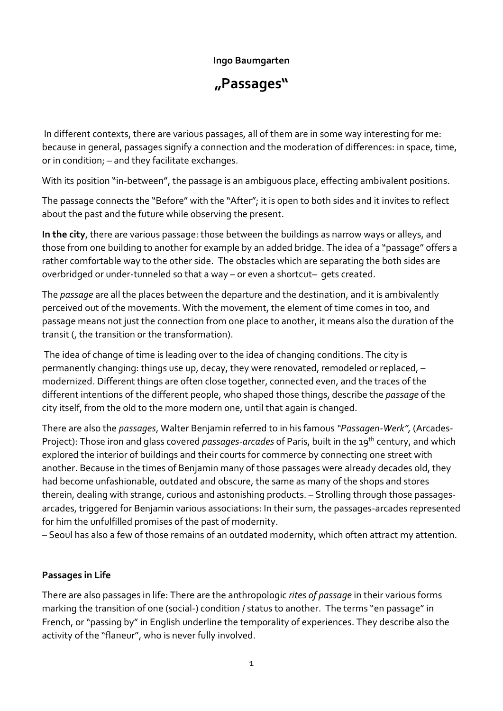## **Ingo Baumgarten**

**"Passages"**

In different contexts, there are various passages, all of them are in some way interesting for me: because in general, passages signify a connection and the moderation of differences: in space, time, or in condition; – and they facilitate exchanges.

With its position "in-between", the passage is an ambiguous place, effecting ambivalent positions.

The passage connects the "Before" with the "After"; it is open to both sides and it invites to reflect about the past and the future while observing the present.

**In the city**, there are various passage: those between the buildings as narrow ways or alleys, and those from one building to another for example by an added bridge. The idea of a "passage" offers a rather comfortable way to the other side. The obstacles which are separating the both sides are overbridged or under-tunneled so that a way – or even a shortcut– gets created.

The *passage* are all the places between the departure and the destination, and it is ambivalently perceived out of the movements. With the movement, the element of time comes in too, and passage means not just the connection from one place to another, it means also the duration of the transit (, the transition or the transformation).

The idea of change of time is leading over to the idea of changing conditions. The city is permanently changing: things use up, decay, they were renovated, remodeled or replaced, – modernized. Different things are often close together, connected even, and the traces of the different intentions of the different people, who shaped those things, describe the *passage* of the city itself, from the old to the more modern one, until that again is changed.

There are also the *passages*, Walter Benjamin referred to in his famous *"Passagen-Werk",* (Arcades-Project): Those iron and glass covered *passages*-*arcades* of Paris, built in the 19th century, and which explored the interior of buildings and their courts for commerce by connecting one street with another. Because in the times of Benjamin many of those passages were already decades old, they had become unfashionable, outdated and obscure, the same as many of the shops and stores therein, dealing with strange, curious and astonishing products. – Strolling through those passagesarcades, triggered for Benjamin various associations: In their sum, the passages-arcades represented for him the unfulfilled promises of the past of modernity.

– Seoul has also a few of those remains of an outdated modernity, which often attract my attention.

## **Passages in Life**

There are also passages in life: There are the anthropologic *rites of passage* in their various forms marking the transition of one (social-) condition / status to another. The terms "en passage" in French, or "passing by" in English underline the temporality of experiences. They describe also the activity of the "flaneur", who is never fully involved.